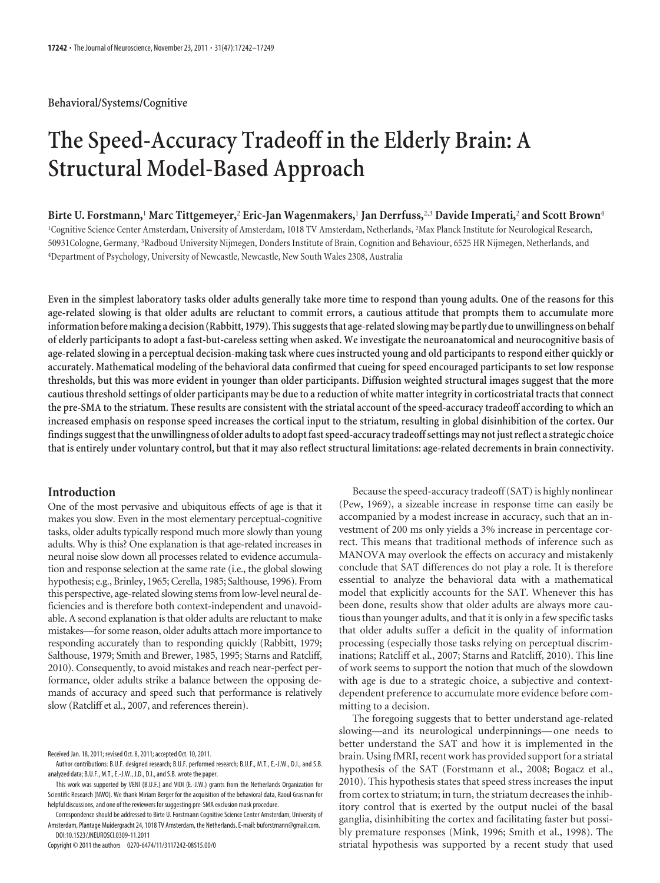## **Behavioral/Systems/Cognitive**

# **The Speed-Accuracy Tradeoff in the Elderly Brain: A Structural Model-Based Approach**

**Birte U. Forstmann,**<sup>1</sup> **Marc Tittgemeyer,**<sup>2</sup> **Eric-Jan Wagenmakers,**<sup>1</sup> **Jan Derrfuss,**2,3 **Davide Imperati,**<sup>2</sup> **and Scott Brown**<sup>4</sup> <sup>1</sup>Cognitive Science Center Amsterdam, University of Amsterdam, 1018 TV Amsterdam, Netherlands, <sup>2</sup>Max Planck Institute for Neurological Research, 50931Cologne, Germany, <sup>3</sup> Radboud University Nijmegen, Donders Institute of Brain, Cognition and Behaviour, 6525 HR Nijmegen, Netherlands, and 4 Department of Psychology, University of Newcastle, Newcastle, New South Wales 2308, Australia

**Even in the simplest laboratory tasks older adults generally take more time to respond than young adults. One of the reasons for this age-related slowing is that older adults are reluctant to commit errors, a cautious attitude that prompts them to accumulate more information before making a decision (Rabbitt, 1979). This suggeststhat age-related slowing may be partly dueto unwillingness on behalf of elderly participants to adopt a fast-but-careless setting when asked. We investigate the neuroanatomical and neurocognitive basis of age-related slowing in a perceptual decision-making task where cues instructed young and old participants to respond either quickly or accurately. Mathematical modeling of the behavioral data confirmed that cueing for speed encouraged participants to set low response thresholds, but this was more evident in younger than older participants. Diffusion weighted structural images suggest that the more cautious threshold settings of older participants may be due to a reduction of white matter integrity in corticostriatal tracts that connect the pre-SMA to the striatum. These results are consistent with the striatal account of the speed-accuracy tradeoff according to which an increased emphasis on response speed increases the cortical input to the striatum, resulting in global disinhibition of the cortex. Our** findings suggest that the unwillingness of older adults to adopt fast speed-accuracy tradeoff settings may not just reflect a strategic choice **that is entirely under voluntary control, but that it may also reflect structural limitations: age-related decrements in brain connectivity.**

# **Introduction**

One of the most pervasive and ubiquitous effects of age is that it makes you slow. Even in the most elementary perceptual-cognitive tasks, older adults typically respond much more slowly than young adults. Why is this? One explanation is that age-related increases in neural noise slow down all processes related to evidence accumulation and response selection at the same rate (i.e., the global slowing hypothesis; e.g., Brinley, 1965; Cerella, 1985; Salthouse, 1996). From this perspective, age-related slowing stems from low-level neural deficiencies and is therefore both context-independent and unavoidable. A second explanation is that older adults are reluctant to make mistakes—for some reason, older adults attach more importance to responding accurately than to responding quickly (Rabbitt, 1979; Salthouse, 1979; Smith and Brewer, 1985, 1995; Starns and Ratcliff, 2010). Consequently, to avoid mistakes and reach near-perfect performance, older adults strike a balance between the opposing demands of accuracy and speed such that performance is relatively slow (Ratcliff et al., 2007, and references therein).

Correspondence should be addressed to Birte U. Forstmann Cognitive Science Center Amsterdam, University of Amsterdam, Plantage Muidergracht 24, 1018 TV Amsterdam, the Netherlands. E-mail: buforstmann@gmail.com. DOI:10.1523/JNEUROSCI.0309-11.2011

Copyright © 2011 the authors 0270-6474/11/3117242-08\$15.00/0

Because the speed-accuracy tradeoff (SAT) is highly nonlinear (Pew, 1969), a sizeable increase in response time can easily be accompanied by a modest increase in accuracy, such that an investment of 200 ms only yields a 3% increase in percentage correct. This means that traditional methods of inference such as MANOVA may overlook the effects on accuracy and mistakenly conclude that SAT differences do not play a role. It is therefore essential to analyze the behavioral data with a mathematical model that explicitly accounts for the SAT. Whenever this has been done, results show that older adults are always more cautious than younger adults, and that it is only in a few specific tasks that older adults suffer a deficit in the quality of information processing (especially those tasks relying on perceptual discriminations; Ratcliff et al., 2007; Starns and Ratcliff, 2010). This line of work seems to support the notion that much of the slowdown with age is due to a strategic choice, a subjective and contextdependent preference to accumulate more evidence before committing to a decision.

The foregoing suggests that to better understand age-related slowing—and its neurological underpinnings— one needs to better understand the SAT and how it is implemented in the brain. Using fMRI, recent work has provided support for a striatal hypothesis of the SAT (Forstmann et al., 2008; Bogacz et al., 2010). This hypothesis states that speed stress increases the input from cortex to striatum; in turn, the striatum decreases the inhibitory control that is exerted by the output nuclei of the basal ganglia, disinhibiting the cortex and facilitating faster but possibly premature responses (Mink, 1996; Smith et al., 1998). The striatal hypothesis was supported by a recent study that used

Received Jan. 18, 2011; revised Oct. 8, 2011; accepted Oct. 10, 2011.

Author contributions: B.U.F. designed research; B.U.F. performed research; B.U.F., M.T., E.-J.W., D.I., and S.B. analyzed data; B.U.F., M.T., E.-J.W., J.D., D.I., and S.B. wrote the paper.

This work was supported by VENI (B.U.F.) and VIDI (E.-J.W.) grants from the Netherlands Organization for Scientific Research (NWO). We thank Miriam Berger for the acquisition of the behavioral data, Raoul Grasman for helpful discussions, and one of the reviewers for suggesting pre-SMA exclusion mask procedure.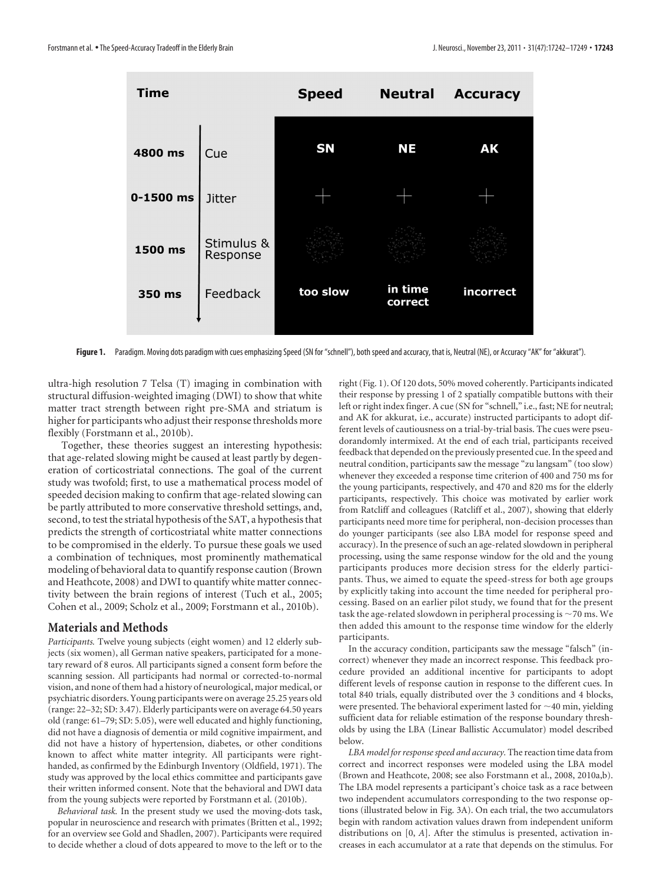

Figure 1. Paradigm. Moving dots paradigm with cues emphasizing Speed (SN for "schnell"), both speed and accuracy, that is, Neutral (NE), or Accuracy "AK" for "akkurat").

ultra-high resolution 7 Telsa (T) imaging in combination with structural diffusion-weighted imaging (DWI) to show that white matter tract strength between right pre-SMA and striatum is higher for participants who adjust their response thresholds more flexibly (Forstmann et al., 2010b).

Together, these theories suggest an interesting hypothesis: that age-related slowing might be caused at least partly by degeneration of corticostriatal connections. The goal of the current study was twofold; first, to use a mathematical process model of speeded decision making to confirm that age-related slowing can be partly attributed to more conservative threshold settings, and, second, to test the striatal hypothesis of the SAT, a hypothesis that predicts the strength of corticostriatal white matter connections to be compromised in the elderly. To pursue these goals we used a combination of techniques, most prominently mathematical modeling of behavioral data to quantify response caution (Brown and Heathcote, 2008) and DWI to quantify white matter connectivity between the brain regions of interest (Tuch et al., 2005; Cohen et al., 2009; Scholz et al., 2009; Forstmann et al., 2010b).

## **Materials and Methods**

*Participants.* Twelve young subjects (eight women) and 12 elderly subjects (six women), all German native speakers, participated for a monetary reward of 8 euros. All participants signed a consent form before the scanning session. All participants had normal or corrected-to-normal vision, and none of them had a history of neurological, major medical, or psychiatric disorders. Young participants were on average 25.25 years old (range: 22–32; SD: 3.47). Elderly participants were on average 64.50 years old (range: 61–79; SD: 5.05), were well educated and highly functioning, did not have a diagnosis of dementia or mild cognitive impairment, and did not have a history of hypertension, diabetes, or other conditions known to affect white matter integrity. All participants were righthanded, as confirmed by the Edinburgh Inventory (Oldfield, 1971). The study was approved by the local ethics committee and participants gave their written informed consent. Note that the behavioral and DWI data from the young subjects were reported by Forstmann et al. (2010b).

*Behavioral task.* In the present study we used the moving-dots task, popular in neuroscience and research with primates (Britten et al., 1992; for an overview see Gold and Shadlen, 2007). Participants were required to decide whether a cloud of dots appeared to move to the left or to the right (Fig. 1). Of 120 dots, 50% moved coherently. Participants indicated their response by pressing 1 of 2 spatially compatible buttons with their left or right index finger. A cue (SN for "schnell," i.e., fast; NE for neutral; and AK for akkurat, i.e., accurate) instructed participants to adopt different levels of cautiousness on a trial-by-trial basis. The cues were pseudorandomly intermixed. At the end of each trial, participants received feedback that depended on the previously presented cue. In the speed and neutral condition, participants saw the message "zu langsam" (too slow) whenever they exceeded a response time criterion of 400 and 750 ms for the young participants, respectively, and 470 and 820 ms for the elderly participants, respectively. This choice was motivated by earlier work from Ratcliff and colleagues (Ratcliff et al., 2007), showing that elderly participants need more time for peripheral, non-decision processes than do younger participants (see also LBA model for response speed and accuracy). In the presence of such an age-related slowdown in peripheral processing, using the same response window for the old and the young participants produces more decision stress for the elderly participants. Thus, we aimed to equate the speed-stress for both age groups by explicitly taking into account the time needed for peripheral processing. Based on an earlier pilot study, we found that for the present task the age-related slowdown in peripheral processing is  $\sim$  70 ms. We then added this amount to the response time window for the elderly participants.

In the accuracy condition, participants saw the message "falsch" (incorrect) whenever they made an incorrect response. This feedback procedure provided an additional incentive for participants to adopt different levels of response caution in response to the different cues. In total 840 trials, equally distributed over the 3 conditions and 4 blocks, were presented. The behavioral experiment lasted for  $\sim$  40 min, yielding sufficient data for reliable estimation of the response boundary thresholds by using the LBA (Linear Ballistic Accumulator) model described below.

*LBA model for response speed and accuracy.* The reaction time data from correct and incorrect responses were modeled using the LBA model (Brown and Heathcote, 2008; see also Forstmann et al., 2008, 2010a,b). The LBA model represents a participant's choice task as a race between two independent accumulators corresponding to the two response options (illustrated below in Fig. 3A). On each trial, the two accumulators begin with random activation values drawn from independent uniform distributions on [0, *A*]. After the stimulus is presented, activation increases in each accumulator at a rate that depends on the stimulus. For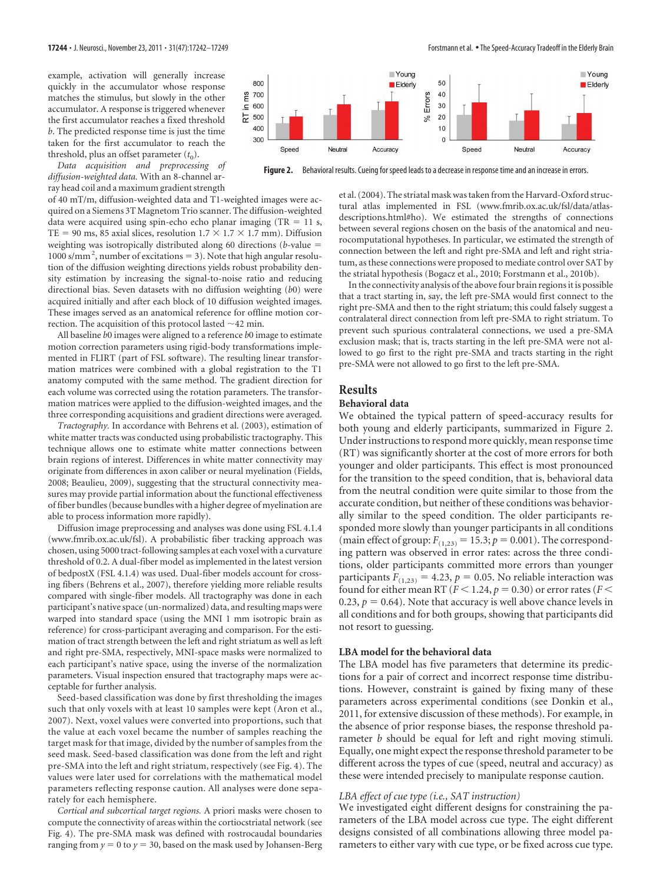example, activation will generally increase quickly in the accumulator whose response matches the stimulus, but slowly in the other accumulator. A response is triggered whenever the first accumulator reaches a fixed threshold *b*. The predicted response time is just the time taken for the first accumulator to reach the threshold, plus an offset parameter  $(t_0)$ .

*Data acquisition and preprocessing of diffusion-weighted data.* With an 8-channel array head coil and a maximum gradient strength

of 40 mT/m, diffusion-weighted data and T1-weighted images were acquired on a Siemens 3T Magnetom Trio scanner. The diffusion-weighted data were acquired using spin-echo echo planar imaging  $(TR = 11 s,$ TE = 90 ms, 85 axial slices, resolution  $1.7 \times 1.7 \times 1.7$  mm). Diffusion weighting was isotropically distributed along 60 directions (*b*-value - 1000 s/mm<sup>2</sup>, number of excitations = 3). Note that high angular resolution of the diffusion weighting directions yields robust probability density estimation by increasing the signal-to-noise ratio and reducing directional bias. Seven datasets with no diffusion weighting (*b*0) were acquired initially and after each block of 10 diffusion weighted images. These images served as an anatomical reference for offline motion correction. The acquisition of this protocol lasted  $\sim$  42 min.

All baseline *b*0 images were aligned to a reference *b*0 image to estimate motion correction parameters using rigid-body transformations implemented in FLIRT (part of FSL software). The resulting linear transformation matrices were combined with a global registration to the T1 anatomy computed with the same method. The gradient direction for each volume was corrected using the rotation parameters. The transformation matrices were applied to the diffusion-weighted images, and the three corresponding acquisitions and gradient directions were averaged.

*Tractography.* In accordance with Behrens et al. (2003), estimation of white matter tracts was conducted using probabilistic tractography. This technique allows one to estimate white matter connections between brain regions of interest. Differences in white matter connectivity may originate from differences in axon caliber or neural myelination (Fields, 2008; Beaulieu, 2009), suggesting that the structural connectivity measures may provide partial information about the functional effectiveness of fiber bundles (because bundles with a higher degree of myelination are able to process information more rapidly).

Diffusion image preprocessing and analyses was done using FSL 4.1.4 (www.fmrib.ox.ac.uk/fsl). A probabilistic fiber tracking approach was chosen, using 5000 tract-following samples at each voxel with a curvature threshold of 0.2. A dual-fiber model as implemented in the latest version of bedpostX (FSL 4.1.4) was used. Dual-fiber models account for crossing fibers (Behrens et al., 2007), therefore yielding more reliable results compared with single-fiber models. All tractography was done in each participant's native space (un-normalized) data, and resulting maps were warped into standard space (using the MNI 1 mm isotropic brain as reference) for cross-participant averaging and comparison. For the estimation of tract strength between the left and right striatum as well as left and right pre-SMA, respectively, MNI-space masks were normalized to each participant's native space, using the inverse of the normalization parameters. Visual inspection ensured that tractography maps were acceptable for further analysis.

Seed-based classification was done by first thresholding the images such that only voxels with at least 10 samples were kept (Aron et al., 2007). Next, voxel values were converted into proportions, such that the value at each voxel became the number of samples reaching the target mask for that image, divided by the number of samples from the seed mask. Seed-based classification was done from the left and right pre-SMA into the left and right striatum, respectively (see Fig. 4). The values were later used for correlations with the mathematical model parameters reflecting response caution. All analyses were done separately for each hemisphere.

*Cortical and subcortical target regions.* A priori masks were chosen to compute the connectivity of areas within the cortiocstriatal network (see Fig. 4). The pre-SMA mask was defined with rostrocaudal boundaries ranging from  $y = 0$  to  $y = 30$ , based on the mask used by Johansen-Berg



Figure 2. Behavioral results. Cueing for speed leads to a decrease in response time and an increase in errors.

et al. (2004). The striatal mask was taken from the Harvard-Oxford structural atlas implemented in FSL (www.fmrib.ox.ac.uk/fsl/data/atlasdescriptions.html#ho). We estimated the strengths of connections between several regions chosen on the basis of the anatomical and neurocomputational hypotheses. In particular, we estimated the strength of connection between the left and right pre-SMA and left and right striatum, as these connections were proposed to mediate control over SAT by the striatal hypothesis (Bogacz et al., 2010; Forstmann et al., 2010b).

In the connectivity analysis of the above four brain regions it is possible that a tract starting in, say, the left pre-SMA would first connect to the right pre-SMA and then to the right striatum; this could falsely suggest a contralateral direct connection from left pre-SMA to right striatum. To prevent such spurious contralateral connections, we used a pre-SMA exclusion mask; that is, tracts starting in the left pre-SMA were not allowed to go first to the right pre-SMA and tracts starting in the right pre-SMA were not allowed to go first to the left pre-SMA.

# **Results**

# **Behavioral data**

We obtained the typical pattern of speed-accuracy results for both young and elderly participants, summarized in Figure 2. Under instructions to respond more quickly, mean response time (RT) was significantly shorter at the cost of more errors for both younger and older participants. This effect is most pronounced for the transition to the speed condition, that is, behavioral data from the neutral condition were quite similar to those from the accurate condition, but neither of these conditions was behaviorally similar to the speed condition. The older participants responded more slowly than younger participants in all conditions (main effect of group:  $F_{(1,23)} = 15.3; p = 0.001$ ). The corresponding pattern was observed in error rates: across the three conditions, older participants committed more errors than younger participants  $F_{(1,23)} = 4.23$ ,  $p = 0.05$ . No reliable interaction was found for either mean RT ( $F$   $<$  1.24,  $p$   $=$  0.30) or error rates ( $F$   $<$  $(0.23, p = 0.64)$ . Note that accuracy is well above chance levels in all conditions and for both groups, showing that participants did not resort to guessing.

#### **LBA model for the behavioral data**

The LBA model has five parameters that determine its predictions for a pair of correct and incorrect response time distributions. However, constraint is gained by fixing many of these parameters across experimental conditions (see Donkin et al., 2011, for extensive discussion of these methods). For example, in the absence of prior response biases, the response threshold parameter *b* should be equal for left and right moving stimuli. Equally, one might expect the response threshold parameter to be different across the types of cue (speed, neutral and accuracy) as these were intended precisely to manipulate response caution.

#### *LBA effect of cue type (i.e., SAT instruction)*

We investigated eight different designs for constraining the parameters of the LBA model across cue type. The eight different designs consisted of all combinations allowing three model parameters to either vary with cue type, or be fixed across cue type.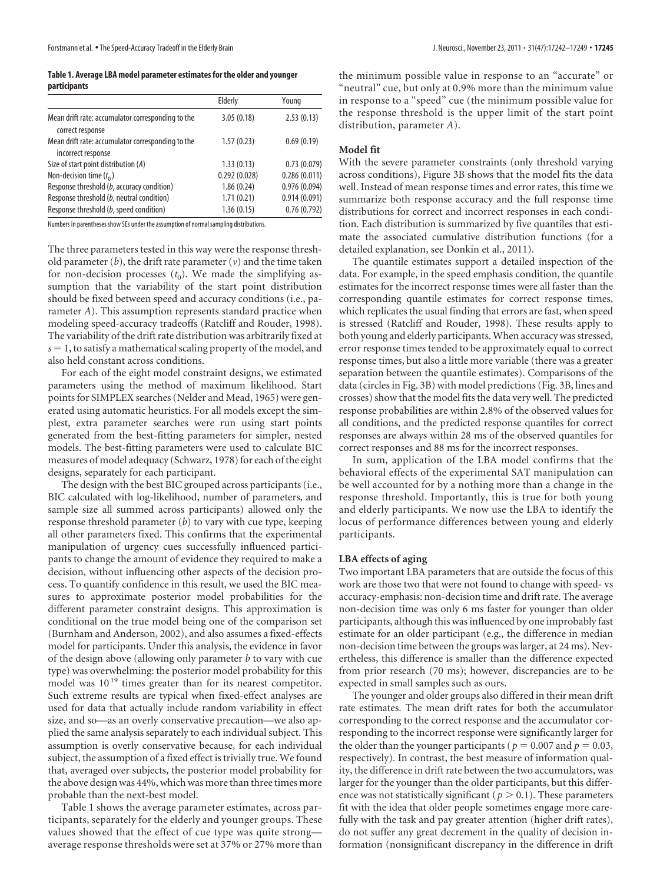**Table 1. Average LBA model parameter estimates for the older and younger participants**

|                                                                         | Elderly      | Young        |
|-------------------------------------------------------------------------|--------------|--------------|
| Mean drift rate: accumulator corresponding to the<br>correct response   | 3.05(0.18)   | 2.53(0.13)   |
| Mean drift rate: accumulator corresponding to the<br>incorrect response | 1.57(0.23)   | 0.69(0.19)   |
| Size of start point distribution (A)                                    | 1.33(0.13)   | 0.73(0.079)  |
| Non-decision time $(t_0)$                                               | 0.292(0.028) | 0.286(0.011) |
| Response threshold (b, accuracy condition)                              | 1.86(0.24)   | 0.976(0.094) |
| Response threshold (b, neutral condition)                               | 1.71(0.21)   | 0.914(0.091) |
| Response threshold (b, speed condition)                                 | 1.36(0.15)   | 0.76(0.792)  |

Numbers in parentheses show SEs under the assumption of normal sampling distributions.

The three parameters tested in this way were the response threshold parameter  $(b)$ , the drift rate parameter  $(v)$  and the time taken for non-decision processes  $(t_0)$ . We made the simplifying assumption that the variability of the start point distribution should be fixed between speed and accuracy conditions (i.e., parameter *A*). This assumption represents standard practice when modeling speed-accuracy tradeoffs (Ratcliff and Rouder, 1998). The variability of the drift rate distribution was arbitrarily fixed at  $s = 1$ , to satisfy a mathematical scaling property of the model, and also held constant across conditions.

For each of the eight model constraint designs, we estimated parameters using the method of maximum likelihood. Start points for SIMPLEX searches (Nelder and Mead, 1965) were generated using automatic heuristics. For all models except the simplest, extra parameter searches were run using start points generated from the best-fitting parameters for simpler, nested models. The best-fitting parameters were used to calculate BIC measures of model adequacy (Schwarz, 1978) for each of the eight designs, separately for each participant.

The design with the best BIC grouped across participants (i.e., BIC calculated with log-likelihood, number of parameters, and sample size all summed across participants) allowed only the response threshold parameter (*b*) to vary with cue type, keeping all other parameters fixed. This confirms that the experimental manipulation of urgency cues successfully influenced participants to change the amount of evidence they required to make a decision, without influencing other aspects of the decision process. To quantify confidence in this result, we used the BIC measures to approximate posterior model probabilities for the different parameter constraint designs. This approximation is conditional on the true model being one of the comparison set (Burnham and Anderson, 2002), and also assumes a fixed-effects model for participants. Under this analysis, the evidence in favor of the design above (allowing only parameter *b* to vary with cue type) was overwhelming: the posterior model probability for this model was  $10^{19}$  times greater than for its nearest competitor. Such extreme results are typical when fixed-effect analyses are used for data that actually include random variability in effect size, and so—as an overly conservative precaution—we also applied the same analysis separately to each individual subject. This assumption is overly conservative because, for each individual subject, the assumption of a fixed effect is trivially true. We found that, averaged over subjects, the posterior model probability for the above design was 44%, which was more than three times more probable than the next-best model.

Table 1 shows the average parameter estimates, across participants, separately for the elderly and younger groups. These values showed that the effect of cue type was quite strong average response thresholds were set at 37% or 27% more than the minimum possible value in response to an "accurate" or "neutral" cue, but only at 0.9% more than the minimum value in response to a "speed" cue (the minimum possible value for the response threshold is the upper limit of the start point distribution, parameter *A*).

#### **Model fit**

With the severe parameter constraints (only threshold varying across conditions), Figure 3B shows that the model fits the data well. Instead of mean response times and error rates, this time we summarize both response accuracy and the full response time distributions for correct and incorrect responses in each condition. Each distribution is summarized by five quantiles that estimate the associated cumulative distribution functions (for a detailed explanation, see Donkin et al., 2011).

The quantile estimates support a detailed inspection of the data. For example, in the speed emphasis condition, the quantile estimates for the incorrect response times were all faster than the corresponding quantile estimates for correct response times, which replicates the usual finding that errors are fast, when speed is stressed (Ratcliff and Rouder, 1998). These results apply to both young and elderly participants. When accuracy was stressed, error response times tended to be approximately equal to correct response times, but also a little more variable (there was a greater separation between the quantile estimates). Comparisons of the data (circles in Fig. 3B) with model predictions (Fig. 3B, lines and crosses) show that the model fits the data very well. The predicted response probabilities are within 2.8% of the observed values for all conditions, and the predicted response quantiles for correct responses are always within 28 ms of the observed quantiles for correct responses and 88 ms for the incorrect responses.

In sum, application of the LBA model confirms that the behavioral effects of the experimental SAT manipulation can be well accounted for by a nothing more than a change in the response threshold. Importantly, this is true for both young and elderly participants. We now use the LBA to identify the locus of performance differences between young and elderly participants.

## **LBA effects of aging**

Two important LBA parameters that are outside the focus of this work are those two that were not found to change with speed- vs accuracy-emphasis: non-decision time and drift rate. The average non-decision time was only 6 ms faster for younger than older participants, although this was influenced by one improbably fast estimate for an older participant (e.g., the difference in median non-decision time between the groups was larger, at 24 ms). Nevertheless, this difference is smaller than the difference expected from prior research (70 ms); however, discrepancies are to be expected in small samples such as ours.

The younger and older groups also differed in their mean drift rate estimates. The mean drift rates for both the accumulator corresponding to the correct response and the accumulator corresponding to the incorrect response were significantly larger for the older than the younger participants ( $p = 0.007$  and  $p = 0.03$ , respectively). In contrast, the best measure of information quality, the difference in drift rate between the two accumulators, was larger for the younger than the older participants, but this difference was not statistically significant ( $p > 0.1$ ). These parameters fit with the idea that older people sometimes engage more carefully with the task and pay greater attention (higher drift rates), do not suffer any great decrement in the quality of decision information (nonsignificant discrepancy in the difference in drift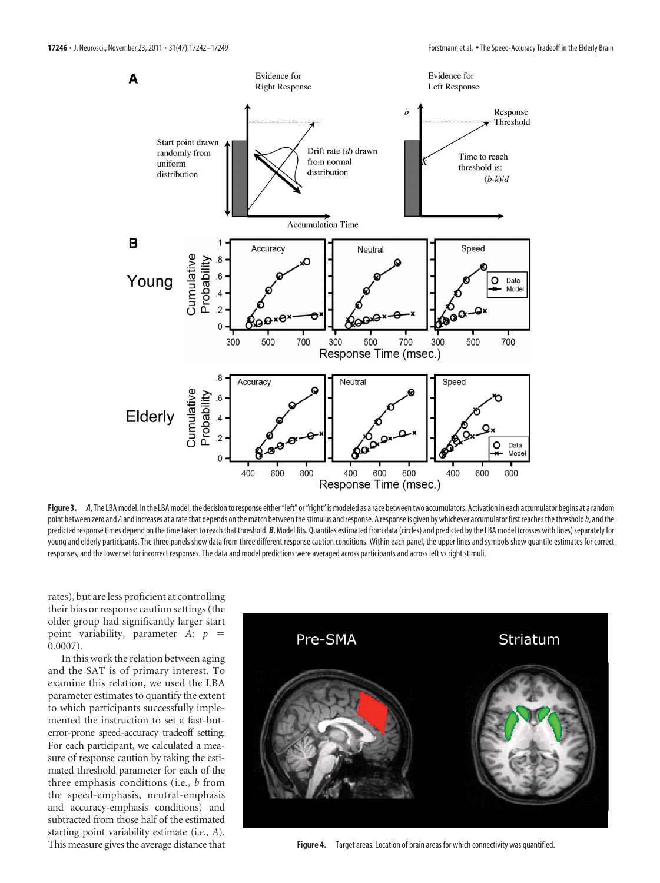

Figure 3. *A*, The LBA model. In the LBA model, the decision to response either "left" or "right" is modeled as a race between two accumulators. Activation in each accumulator begins at a random point between zero and A and increases at a rate that depends on the match between the stimulus and response. A response is given by whichever accumulator first reaches the threshold b, and the predicted response times depend on the time taken to reach that threshold. *B*, Model fits. Quantiles estimated from data (circles) and predicted by the LBA model (crosses with lines) separately for young and elderly participants. The three panels show data from three different response caution conditions. Within each panel, the upper lines and symbols show quantile estimates for correct responses, and the lower set for incorrect responses. The data and model predictions were averaged across participants and across left vs right stimuli.

rates), but are less proficient at controlling their bias or response caution settings (the older group had significantly larger start point variability, parameter  $A: p =$ 0.0007).

In this work the relation between aging and the SAT is of primary interest. To examine this relation, we used the LBA parameter estimates to quantify the extent to which participants successfully implemented the instruction to set a fast-buterror-prone speed-accuracy tradeoff setting. For each participant, we calculated a measure of response caution by taking the estimated threshold parameter for each of the three emphasis conditions (i.e., *b* from the speed-emphasis, neutral-emphasis and accuracy-emphasis conditions) and subtracted from those half of the estimated starting point variability estimate (i.e., *A*). This measure gives the average distance that



**Figure 4.** Target areas. Location of brain areas for which connectivity was quantified.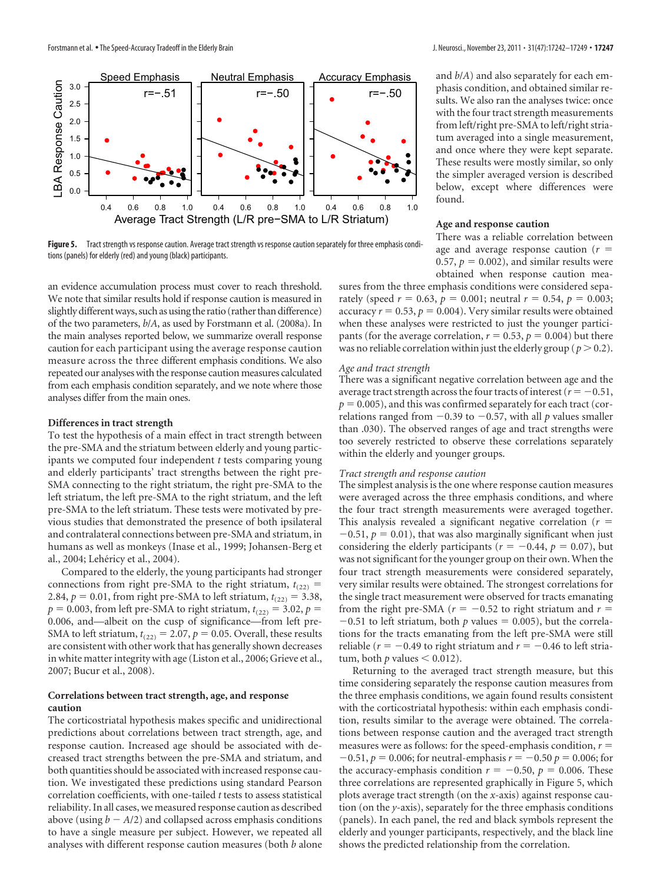

**Figure 5.** Tract strength vs response caution. Average tract strength vs response caution separately for three emphasis conditions (panels) for elderly (red) and young (black) participants.

an evidence accumulation process must cover to reach threshold. We note that similar results hold if response caution is measured in slightly different ways, such as using the ratio (rather than difference) of the two parameters, *b*/*A*, as used by Forstmann et al. (2008a). In the main analyses reported below, we summarize overall response caution for each participant using the average response caution measure across the three different emphasis conditions. We also repeated our analyses with the response caution measures calculated from each emphasis condition separately, and we note where those analyses differ from the main ones.

#### **Differences in tract strength**

To test the hypothesis of a main effect in tract strength between the pre-SMA and the striatum between elderly and young participants we computed four independent *t* tests comparing young and elderly participants' tract strengths between the right pre-SMA connecting to the right striatum, the right pre-SMA to the left striatum, the left pre-SMA to the right striatum, and the left pre-SMA to the left striatum. These tests were motivated by previous studies that demonstrated the presence of both ipsilateral and contralateral connections between pre-SMA and striatum, in humans as well as monkeys (Inase et al., 1999; Johansen-Berg et al., 2004; Lehéricy et al., 2004).

Compared to the elderly, the young participants had stronger connections from right pre-SMA to the right striatum,  $t_{(22)}$  = 2.84,  $p = 0.01$ , from right pre-SMA to left striatum,  $t_{(22)} = 3.38$ ,  $p = 0.003$ , from left pre-SMA to right striatum,  $t_{(22)} = 3.02$ ,  $p =$ 0.006, and—albeit on the cusp of significance—from left pre-SMA to left striatum,  $t_{(22)} = 2.07$ ,  $p = 0.05$ . Overall, these results are consistent with other work that has generally shown decreases in white matter integrity with age (Liston et al., 2006; Grieve et al., 2007; Bucur et al., 2008).

## **Correlations between tract strength, age, and response caution**

The corticostriatal hypothesis makes specific and unidirectional predictions about correlations between tract strength, age, and response caution. Increased age should be associated with decreased tract strengths between the pre-SMA and striatum, and both quantities should be associated with increased response caution. We investigated these predictions using standard Pearson correlation coefficients, with one-tailed *t* tests to assess statistical reliability. In all cases, we measured response caution as described above (using  $b - A/2$ ) and collapsed across emphasis conditions to have a single measure per subject. However, we repeated all analyses with different response caution measures (both *b* alone

and *b*/*A*) and also separately for each emphasis condition, and obtained similar results. We also ran the analyses twice: once with the four tract strength measurements from left/right pre-SMA to left/right striatum averaged into a single measurement, and once where they were kept separate. These results were mostly similar, so only the simpler averaged version is described below, except where differences were found.

### **Age and response caution**

There was a reliable correlation between age and average response caution  $(r =$ 0.57,  $p = 0.002$ ), and similar results were obtained when response caution mea-

sures from the three emphasis conditions were considered separately (speed  $r = 0.63$ ,  $p = 0.001$ ; neutral  $r = 0.54$ ,  $p = 0.003$ ; accuracy  $r = 0.53$ ,  $p = 0.004$ ). Very similar results were obtained when these analyses were restricted to just the younger participants (for the average correlation,  $r = 0.53$ ,  $p = 0.004$ ) but there was no reliable correlation within just the elderly group ( $p > 0.2$ ).

## *Age and tract strength*

There was a significant negative correlation between age and the average tract strength across the four tracts of interest ( $r = -0.51$ ,  $p = 0.005$ ), and this was confirmed separately for each tract (correlations ranged from  $-0.39$  to  $-0.57$ , with all *p* values smaller than .030). The observed ranges of age and tract strengths were too severely restricted to observe these correlations separately within the elderly and younger groups.

#### *Tract strength and response caution*

The simplest analysis is the one where response caution measures were averaged across the three emphasis conditions, and where the four tract strength measurements were averaged together. This analysis revealed a significant negative correlation  $(r =$  $-0.51$ ,  $p = 0.01$ ), that was also marginally significant when just considering the elderly participants ( $r = -0.44$ ,  $p = 0.07$ ), but was not significant for the younger group on their own. When the four tract strength measurements were considered separately, very similar results were obtained. The strongest correlations for the single tract measurement were observed for tracts emanating from the right pre-SMA ( $r = -0.52$  to right striatum and  $r =$  $-0.51$  to left striatum, both *p* values = 0.005), but the correlations for the tracts emanating from the left pre-SMA were still reliable ( $r = -0.49$  to right striatum and  $r = -0.46$  to left striatum, both  $p$  values  $\leq 0.012$ ).

Returning to the averaged tract strength measure, but this time considering separately the response caution measures from the three emphasis conditions, we again found results consistent with the corticostriatal hypothesis: within each emphasis condition, results similar to the average were obtained. The correlations between response caution and the averaged tract strength measures were as follows: for the speed-emphasis condition,  $r =$  $-0.51, p = 0.006$ ; for neutral-emphasis  $r = -0.50 p = 0.006$ ; for the accuracy-emphasis condition  $r = -0.50$ ,  $p = 0.006$ . These three correlations are represented graphically in Figure 5, which plots average tract strength (on the *x*-axis) against response caution (on the *y*-axis), separately for the three emphasis conditions (panels). In each panel, the red and black symbols represent the elderly and younger participants, respectively, and the black line shows the predicted relationship from the correlation.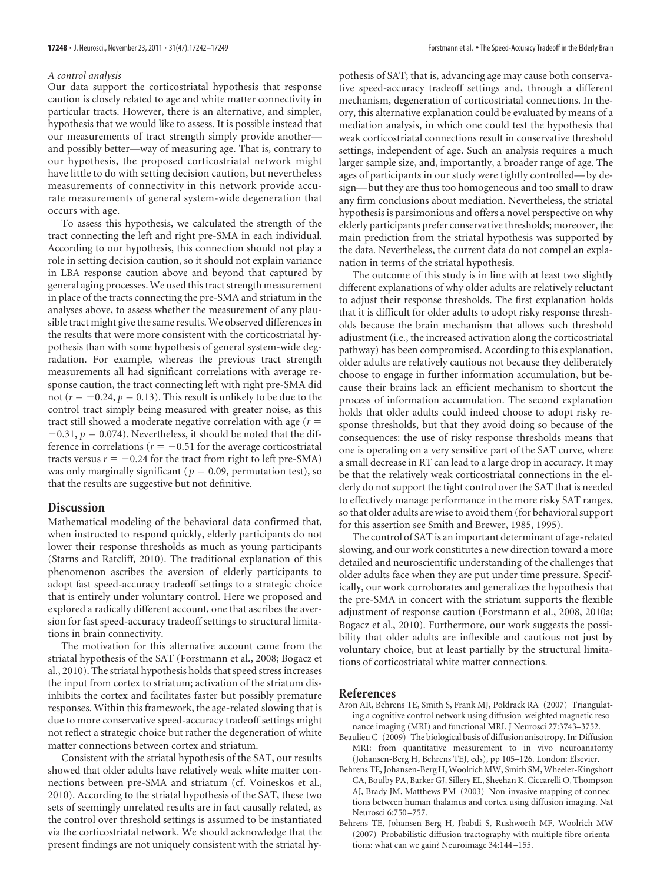## *A control analysis*

Our data support the corticostriatal hypothesis that response caution is closely related to age and white matter connectivity in particular tracts. However, there is an alternative, and simpler, hypothesis that we would like to assess. It is possible instead that our measurements of tract strength simply provide another and possibly better—way of measuring age. That is, contrary to our hypothesis, the proposed corticostriatal network might have little to do with setting decision caution, but nevertheless measurements of connectivity in this network provide accurate measurements of general system-wide degeneration that occurs with age.

To assess this hypothesis, we calculated the strength of the tract connecting the left and right pre-SMA in each individual. According to our hypothesis, this connection should not play a role in setting decision caution, so it should not explain variance in LBA response caution above and beyond that captured by general aging processes. We used this tract strength measurement in place of the tracts connecting the pre-SMA and striatum in the analyses above, to assess whether the measurement of any plausible tract might give the same results. We observed differences in the results that were more consistent with the corticostriatal hypothesis than with some hypothesis of general system-wide degradation. For example, whereas the previous tract strength measurements all had significant correlations with average response caution, the tract connecting left with right pre-SMA did not ( $r = -0.24$ ,  $p = 0.13$ ). This result is unlikely to be due to the control tract simply being measured with greater noise, as this tract still showed a moderate negative correlation with age  $(r =$  $-0.31$ ,  $p = 0.074$ ). Nevertheless, it should be noted that the difference in correlations ( $r = -0.51$  for the average corticostriatal tracts versus  $r = -0.24$  for the tract from right to left pre-SMA) was only marginally significant ( $p = 0.09$ , permutation test), so that the results are suggestive but not definitive.

# **Discussion**

Mathematical modeling of the behavioral data confirmed that, when instructed to respond quickly, elderly participants do not lower their response thresholds as much as young participants (Starns and Ratcliff, 2010). The traditional explanation of this phenomenon ascribes the aversion of elderly participants to adopt fast speed-accuracy tradeoff settings to a strategic choice that is entirely under voluntary control. Here we proposed and explored a radically different account, one that ascribes the aversion for fast speed-accuracy tradeoff settings to structural limitations in brain connectivity.

The motivation for this alternative account came from the striatal hypothesis of the SAT (Forstmann et al., 2008; Bogacz et al., 2010). The striatal hypothesis holds that speed stress increases the input from cortex to striatum; activation of the striatum disinhibits the cortex and facilitates faster but possibly premature responses. Within this framework, the age-related slowing that is due to more conservative speed-accuracy tradeoff settings might not reflect a strategic choice but rather the degeneration of white matter connections between cortex and striatum.

Consistent with the striatal hypothesis of the SAT, our results showed that older adults have relatively weak white matter connections between pre-SMA and striatum (cf. Voineskos et al., 2010). According to the striatal hypothesis of the SAT, these two sets of seemingly unrelated results are in fact causally related, as the control over threshold settings is assumed to be instantiated via the corticostriatal network. We should acknowledge that the present findings are not uniquely consistent with the striatal hypothesis of SAT; that is, advancing age may cause both conservative speed-accuracy tradeoff settings and, through a different mechanism, degeneration of corticostriatal connections. In theory, this alternative explanation could be evaluated by means of a mediation analysis, in which one could test the hypothesis that weak corticostriatal connections result in conservative threshold settings, independent of age. Such an analysis requires a much larger sample size, and, importantly, a broader range of age. The ages of participants in our study were tightly controlled— by design— but they are thus too homogeneous and too small to draw any firm conclusions about mediation. Nevertheless, the striatal hypothesis is parsimonious and offers a novel perspective on why elderly participants prefer conservative thresholds; moreover, the main prediction from the striatal hypothesis was supported by the data. Nevertheless, the current data do not compel an explanation in terms of the striatal hypothesis.

The outcome of this study is in line with at least two slightly different explanations of why older adults are relatively reluctant to adjust their response thresholds. The first explanation holds that it is difficult for older adults to adopt risky response thresholds because the brain mechanism that allows such threshold adjustment (i.e., the increased activation along the corticostriatal pathway) has been compromised. According to this explanation, older adults are relatively cautious not because they deliberately choose to engage in further information accumulation, but because their brains lack an efficient mechanism to shortcut the process of information accumulation. The second explanation holds that older adults could indeed choose to adopt risky response thresholds, but that they avoid doing so because of the consequences: the use of risky response thresholds means that one is operating on a very sensitive part of the SAT curve, where a small decrease in RT can lead to a large drop in accuracy. It may be that the relatively weak corticostriatal connections in the elderly do not support the tight control over the SAT that is needed to effectively manage performance in the more risky SAT ranges, so that older adults are wise to avoid them (for behavioral support for this assertion see Smith and Brewer, 1985, 1995).

The control of SAT is an important determinant of age-related slowing, and our work constitutes a new direction toward a more detailed and neuroscientific understanding of the challenges that older adults face when they are put under time pressure. Specifically, our work corroborates and generalizes the hypothesis that the pre-SMA in concert with the striatum supports the flexible adjustment of response caution (Forstmann et al., 2008, 2010a; Bogacz et al., 2010). Furthermore, our work suggests the possibility that older adults are inflexible and cautious not just by voluntary choice, but at least partially by the structural limitations of corticostriatal white matter connections.

## **References**

- Aron AR, Behrens TE, Smith S, Frank MJ, Poldrack RA (2007) Triangulating a cognitive control network using diffusion-weighted magnetic resonance imaging (MRI) and functional MRI. J Neurosci 27:3743–3752.
- Beaulieu C (2009) The biological basis of diffusion anisotropy. In: Diffusion MRI: from quantitative measurement to in vivo neuroanatomy (Johansen-Berg H, Behrens TEJ, eds), pp 105–126. London: Elsevier.
- Behrens TE, Johansen-Berg H, Woolrich MW, Smith SM, Wheeler-Kingshott CA, Boulby PA, Barker GJ, Sillery EL, Sheehan K, Ciccarelli O, Thompson AJ, Brady JM, Matthews PM (2003) Non-invasive mapping of connections between human thalamus and cortex using diffusion imaging. Nat Neurosci 6:750 –757.
- Behrens TE, Johansen-Berg H, Jbabdi S, Rushworth MF, Woolrich MW (2007) Probabilistic diffusion tractography with multiple fibre orientations: what can we gain? Neuroimage 34:144 –155.